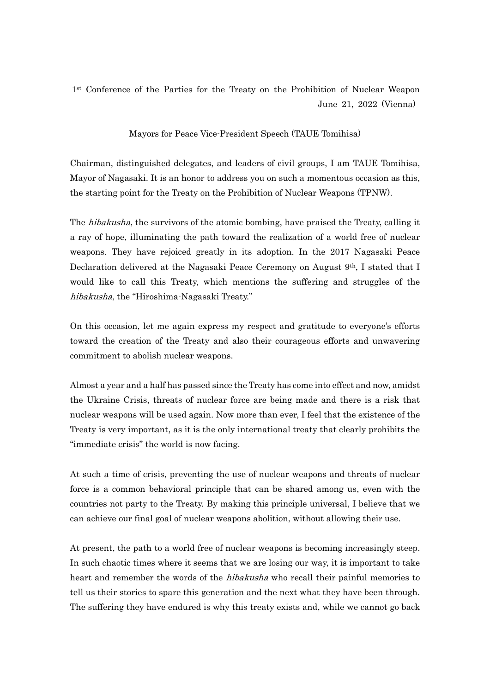1st Conference of the Parties for the Treaty on the Prohibition of Nuclear Weapon June 21, 2022 (Vienna)

## Mayors for Peace Vice-President Speech (TAUE Tomihisa)

Chairman, distinguished delegates, and leaders of civil groups, I am TAUE Tomihisa, Mayor of Nagasaki. It is an honor to address you on such a momentous occasion as this, the starting point for the Treaty on the Prohibition of Nuclear Weapons (TPNW).

The *hibakusha*, the survivors of the atomic bombing, have praised the Treaty, calling it a ray of hope, illuminating the path toward the realization of a world free of nuclear weapons. They have rejoiced greatly in its adoption. In the 2017 Nagasaki Peace Declaration delivered at the Nagasaki Peace Ceremony on August 9th, I stated that I would like to call this Treaty, which mentions the suffering and struggles of the hibakusha, the "Hiroshima-Nagasaki Treaty."

On this occasion, let me again express my respect and gratitude to everyone's efforts toward the creation of the Treaty and also their courageous efforts and unwavering commitment to abolish nuclear weapons.

Almost a year and a half has passed since the Treaty has come into effect and now, amidst the Ukraine Crisis, threats of nuclear force are being made and there is a risk that nuclear weapons will be used again. Now more than ever, I feel that the existence of the Treaty is very important, as it is the only international treaty that clearly prohibits the "immediate crisis" the world is now facing.

At such a time of crisis, preventing the use of nuclear weapons and threats of nuclear force is a common behavioral principle that can be shared among us, even with the countries not party to the Treaty. By making this principle universal, I believe that we can achieve our final goal of nuclear weapons abolition, without allowing their use.

At present, the path to a world free of nuclear weapons is becoming increasingly steep. In such chaotic times where it seems that we are losing our way, it is important to take heart and remember the words of the hibakusha who recall their painful memories to tell us their stories to spare this generation and the next what they have been through. The suffering they have endured is why this treaty exists and, while we cannot go back